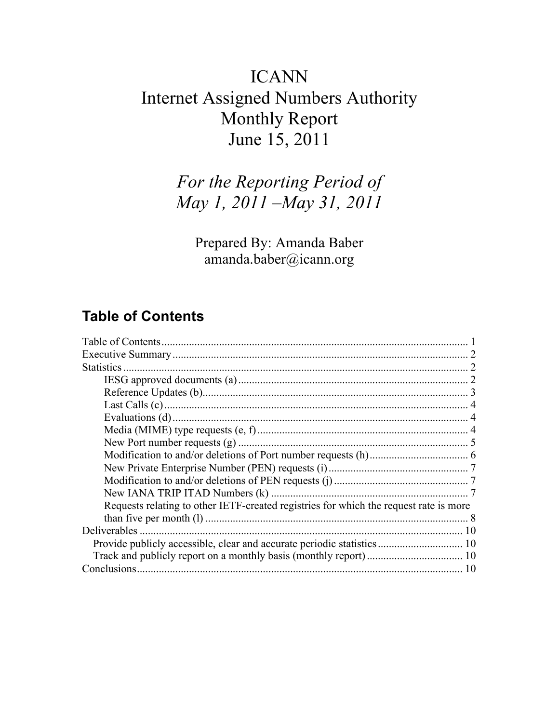# ICANN Internet Assigned Numbers Authority Monthly Report June 15, 2011

# *For the Reporting Period of May 1, 2011 –May 31, 2011*

Prepared By: Amanda Baber amanda.baber@icann.org

### **Table of Contents**

| <b>Statistics</b>                                                                     |  |
|---------------------------------------------------------------------------------------|--|
|                                                                                       |  |
|                                                                                       |  |
|                                                                                       |  |
|                                                                                       |  |
|                                                                                       |  |
|                                                                                       |  |
|                                                                                       |  |
|                                                                                       |  |
|                                                                                       |  |
|                                                                                       |  |
| Requests relating to other IETF-created registries for which the request rate is more |  |
|                                                                                       |  |
| Deliverables                                                                          |  |
|                                                                                       |  |
|                                                                                       |  |
|                                                                                       |  |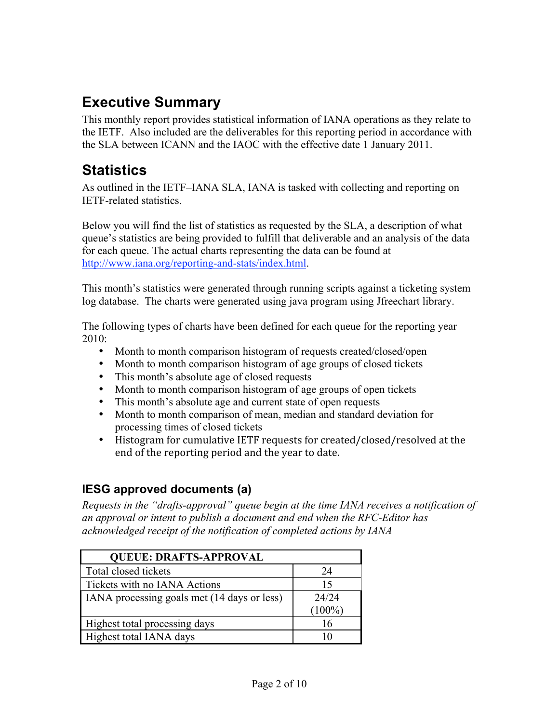## **Executive Summary**

This monthly report provides statistical information of IANA operations as they relate to the IETF. Also included are the deliverables for this reporting period in accordance with the SLA between ICANN and the IAOC with the effective date 1 January 2011.

### **Statistics**

As outlined in the IETF–IANA SLA, IANA is tasked with collecting and reporting on IETF-related statistics.

Below you will find the list of statistics as requested by the SLA, a description of what queue's statistics are being provided to fulfill that deliverable and an analysis of the data for each queue. The actual charts representing the data can be found at http://www.iana.org/reporting-and-stats/index.html.

This month's statistics were generated through running scripts against a ticketing system log database. The charts were generated using java program using Jfreechart library.

The following types of charts have been defined for each queue for the reporting year 2010:

- Month to month comparison histogram of requests created/closed/open
- Month to month comparison histogram of age groups of closed tickets
- This month's absolute age of closed requests
- Month to month comparison histogram of age groups of open tickets
- This month's absolute age and current state of open requests
- Month to month comparison of mean, median and standard deviation for processing times of closed tickets
- Histogram for cumulative IETF requests for created/closed/resolved at the end
of
the
reporting
period
and
the
year
to
date.

#### **IESG approved documents (a)**

*Requests in the "drafts-approval" queue begin at the time IANA receives a notification of an approval or intent to publish a document and end when the RFC-Editor has acknowledged receipt of the notification of completed actions by IANA*

| <b>QUEUE: DRAFTS-APPROVAL</b>               |           |
|---------------------------------------------|-----------|
| Total closed tickets                        | 24        |
| Tickets with no IANA Actions                | 15        |
| IANA processing goals met (14 days or less) | 24/24     |
|                                             | $(100\%)$ |
| Highest total processing days               | 16        |
| Highest total IANA days                     |           |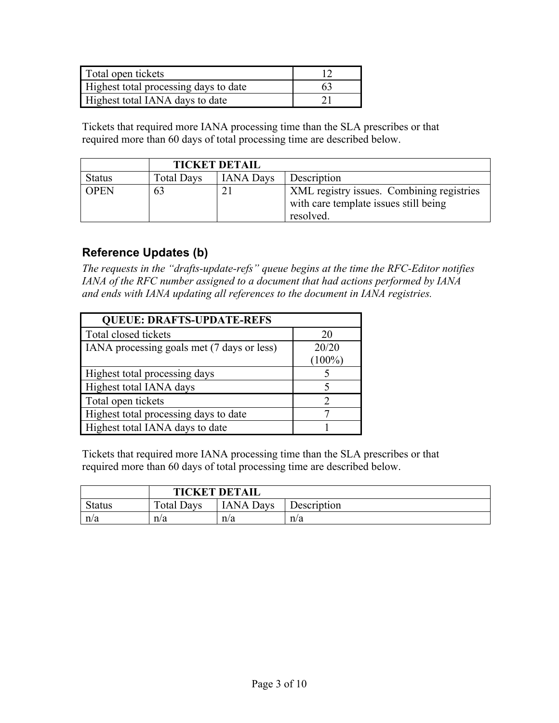| Total open tickets                    |    |
|---------------------------------------|----|
| Highest total processing days to date | 63 |
| Highest total IANA days to date       |    |

|               | <b>TICKET DETAIL</b> |                  |                                                                                                 |
|---------------|----------------------|------------------|-------------------------------------------------------------------------------------------------|
| <b>Status</b> | <b>Total Days</b>    | <b>IANA Days</b> | Description                                                                                     |
| <b>OPEN</b>   | 63                   | 21               | XML registry issues. Combining registries<br>with care template issues still being<br>resolved. |

#### **Reference Updates (b)**

*The requests in the "drafts-update-refs" queue begins at the time the RFC-Editor notifies IANA of the RFC number assigned to a document that had actions performed by IANA and ends with IANA updating all references to the document in IANA registries.*

| <b>QUEUE: DRAFTS-UPDATE-REFS</b>           |           |
|--------------------------------------------|-----------|
| Total closed tickets                       | 20        |
| IANA processing goals met (7 days or less) | 20/20     |
|                                            | $(100\%)$ |
| Highest total processing days              |           |
| Highest total IANA days                    |           |
| Total open tickets                         |           |
| Highest total processing days to date      |           |
| Highest total IANA days to date            |           |

Tickets that required more IANA processing time than the SLA prescribes or that required more than 60 days of total processing time are described below.

|               | <b>TICKET DETAIL</b> |                  |             |
|---------------|----------------------|------------------|-------------|
| <b>Status</b> | <b>Total Days</b>    | <b>IANA Days</b> | Description |
| n/a           | n/a                  | n/a              | n/a         |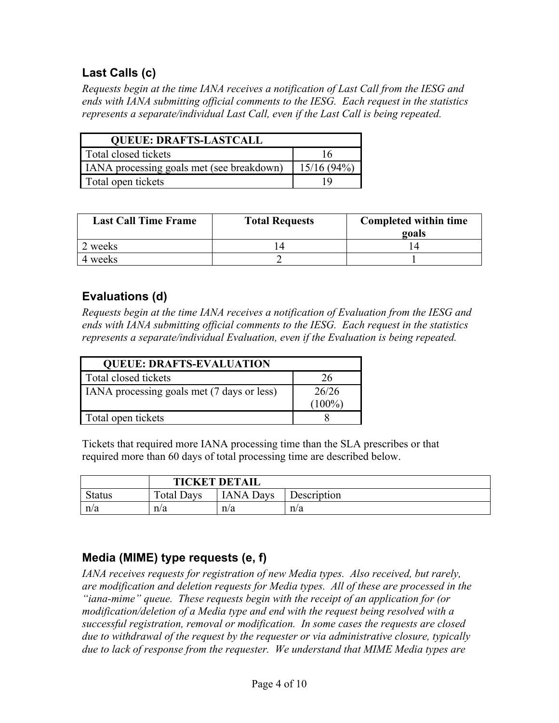#### **Last Calls (c)**

*Requests begin at the time IANA receives a notification of Last Call from the IESG and ends with IANA submitting official comments to the IESG. Each request in the statistics represents a separate/individual Last Call, even if the Last Call is being repeated.*

| <b>QUEUE: DRAFTS-LASTCALL</b>             |               |  |
|-------------------------------------------|---------------|--|
| Total closed tickets                      | 16            |  |
| IANA processing goals met (see breakdown) | $15/16(94\%)$ |  |
| Total open tickets                        | ١y            |  |

| <b>Last Call Time Frame</b> | <b>Total Requests</b> | Completed within time<br>goals |
|-----------------------------|-----------------------|--------------------------------|
| 2 weeks                     |                       | $\overline{4}$                 |
| 4 weeks                     |                       |                                |

#### **Evaluations (d)**

*Requests begin at the time IANA receives a notification of Evaluation from the IESG and ends with IANA submitting official comments to the IESG. Each request in the statistics represents a separate/individual Evaluation, even if the Evaluation is being repeated.*

| <b>QUEUE: DRAFTS-EVALUATION</b>            |           |
|--------------------------------------------|-----------|
| Total closed tickets                       | 26        |
| IANA processing goals met (7 days or less) | 26/26     |
|                                            | $(100\%)$ |
| Total open tickets                         |           |

Tickets that required more IANA processing time than the SLA prescribes or that required more than 60 days of total processing time are described below.

|               | <b>TICKET DETAIL</b> |                  |             |
|---------------|----------------------|------------------|-------------|
| <b>Status</b> | Total Days           | <b>IANA Days</b> | Description |
| n/a           | n/a                  | n/a              | n/a         |

#### **Media (MIME) type requests (e, f)**

*IANA receives requests for registration of new Media types. Also received, but rarely, are modification and deletion requests for Media types. All of these are processed in the "iana-mime" queue. These requests begin with the receipt of an application for (or modification/deletion of a Media type and end with the request being resolved with a successful registration, removal or modification. In some cases the requests are closed due to withdrawal of the request by the requester or via administrative closure, typically due to lack of response from the requester. We understand that MIME Media types are*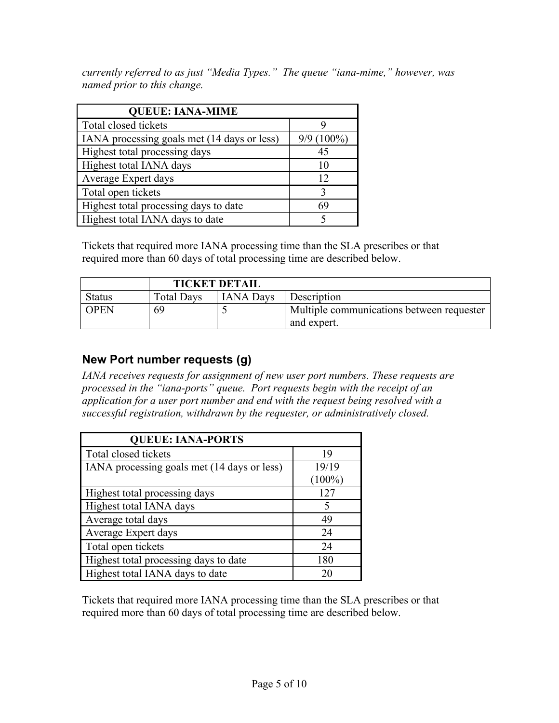*currently referred to as just "Media Types." The queue "iana-mime," however, was named prior to this change.*

| <b>QUEUE: IANA-MIME</b>                     |              |
|---------------------------------------------|--------------|
| Total closed tickets                        |              |
| IANA processing goals met (14 days or less) | $9/9(100\%)$ |
| Highest total processing days               | 45           |
| Highest total IANA days                     | 10           |
| Average Expert days                         | 12           |
| Total open tickets                          | 3            |
| Highest total processing days to date       | 69           |
| Highest total IANA days to date             |              |

Tickets that required more IANA processing time than the SLA prescribes or that required more than 60 days of total processing time are described below.

|               | <b>TICKET DETAIL</b> |                  |                                                          |
|---------------|----------------------|------------------|----------------------------------------------------------|
| <b>Status</b> | <b>Total Days</b>    | <b>IANA Days</b> | Description                                              |
| <b>OPEN</b>   | 69                   |                  | Multiple communications between requester<br>and expert. |

#### **New Port number requests (g)**

*IANA receives requests for assignment of new user port numbers. These requests are processed in the "iana-ports" queue. Port requests begin with the receipt of an application for a user port number and end with the request being resolved with a successful registration, withdrawn by the requester, or administratively closed.*

| <b>QUEUE: IANA-PORTS</b>                    |           |  |  |
|---------------------------------------------|-----------|--|--|
| Total closed tickets                        | 19        |  |  |
| IANA processing goals met (14 days or less) | 19/19     |  |  |
|                                             | $(100\%)$ |  |  |
| Highest total processing days               | 127       |  |  |
| Highest total IANA days                     | 5         |  |  |
| Average total days                          | 49        |  |  |
| Average Expert days                         | 24        |  |  |
| Total open tickets                          | 24        |  |  |
| Highest total processing days to date       | 180       |  |  |
| Highest total IANA days to date             | 20        |  |  |

Tickets that required more IANA processing time than the SLA prescribes or that required more than 60 days of total processing time are described below.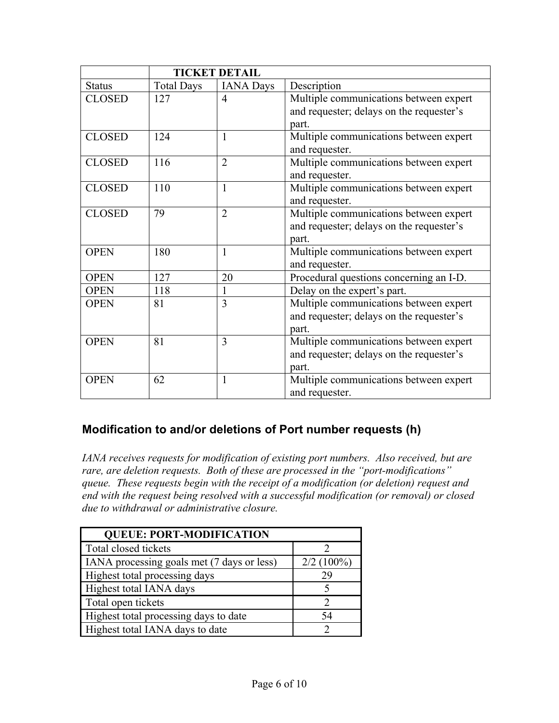|               |                   | <b>TICKET DETAIL</b> |                                                                                             |
|---------------|-------------------|----------------------|---------------------------------------------------------------------------------------------|
| <b>Status</b> | <b>Total Days</b> | <b>IANA Days</b>     | Description                                                                                 |
| <b>CLOSED</b> | 127               | $\overline{4}$       | Multiple communications between expert<br>and requester; delays on the requester's<br>part. |
| <b>CLOSED</b> | 124               | $\mathbf{1}$         | Multiple communications between expert<br>and requester.                                    |
| <b>CLOSED</b> | 116               | $\overline{2}$       | Multiple communications between expert<br>and requester.                                    |
| <b>CLOSED</b> | 110               | $\mathbf{1}$         | Multiple communications between expert<br>and requester.                                    |
| <b>CLOSED</b> | 79                | $\overline{2}$       | Multiple communications between expert<br>and requester; delays on the requester's<br>part. |
| <b>OPEN</b>   | 180               | $\mathbf{1}$         | Multiple communications between expert<br>and requester.                                    |
| <b>OPEN</b>   | 127               | 20                   | Procedural questions concerning an I-D.                                                     |
| <b>OPEN</b>   | 118               | 1                    | Delay on the expert's part.                                                                 |
| <b>OPEN</b>   | 81                | 3                    | Multiple communications between expert<br>and requester; delays on the requester's<br>part. |
| <b>OPEN</b>   | 81                | $\overline{3}$       | Multiple communications between expert<br>and requester; delays on the requester's<br>part. |
| <b>OPEN</b>   | 62                | $\mathbf{1}$         | Multiple communications between expert<br>and requester.                                    |

#### **Modification to and/or deletions of Port number requests (h)**

*IANA receives requests for modification of existing port numbers. Also received, but are rare, are deletion requests. Both of these are processed in the "port-modifications" queue. These requests begin with the receipt of a modification (or deletion) request and end with the request being resolved with a successful modification (or removal) or closed due to withdrawal or administrative closure.*

| <b>QUEUE: PORT-MODIFICATION</b>            |              |
|--------------------------------------------|--------------|
| Total closed tickets                       |              |
| IANA processing goals met (7 days or less) | $2/2(100\%)$ |
| Highest total processing days              | 29           |
| Highest total IANA days                    |              |
| Total open tickets                         |              |
| Highest total processing days to date      | 54           |
| Highest total IANA days to date            |              |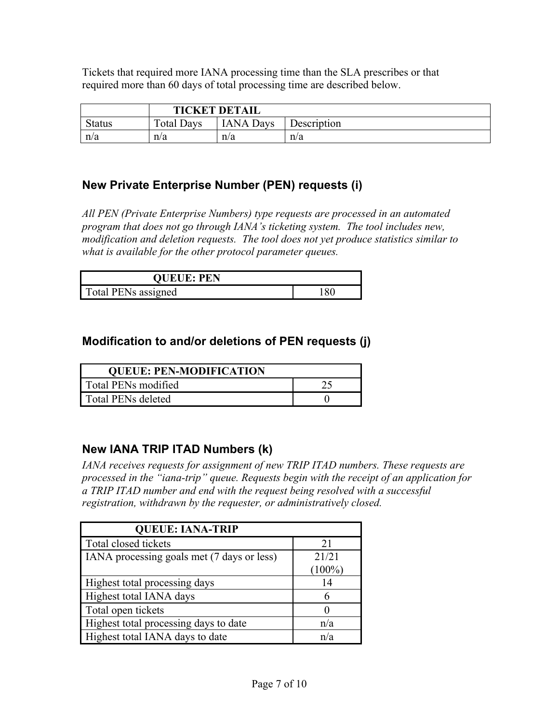|               | <b>TICKET DETAIL</b> |                  |             |
|---------------|----------------------|------------------|-------------|
| <b>Status</b> | <b>Total Days</b>    | <b>IANA Days</b> | Description |
| n/a           | n/a                  | n/a              | n/a         |

#### **New Private Enterprise Number (PEN) requests (i)**

*All PEN (Private Enterprise Numbers) type requests are processed in an automated program that does not go through IANA's ticketing system. The tool includes new, modification and deletion requests. The tool does not yet produce statistics similar to what is available for the other protocol parameter queues.*

| <b>QUEUE: PEN</b>   |     |
|---------------------|-----|
| Total PENs assigned | 180 |

#### **Modification to and/or deletions of PEN requests (j)**

| <b>QUEUE: PEN-MODIFICATION</b> |  |
|--------------------------------|--|
| Total PENs modified            |  |
| Total PENs deleted             |  |

#### **New IANA TRIP ITAD Numbers (k)**

*IANA receives requests for assignment of new TRIP ITAD numbers. These requests are processed in the "iana-trip" queue. Requests begin with the receipt of an application for a TRIP ITAD number and end with the request being resolved with a successful registration, withdrawn by the requester, or administratively closed.*

| <b>QUEUE: IANA-TRIP</b>                    |           |
|--------------------------------------------|-----------|
| Total closed tickets                       | 21        |
| IANA processing goals met (7 days or less) | 21/21     |
|                                            | $(100\%)$ |
| Highest total processing days              | 14        |
| Highest total IANA days                    |           |
| Total open tickets                         |           |
| Highest total processing days to date      | n/a       |
| Highest total IANA days to date            | n/a       |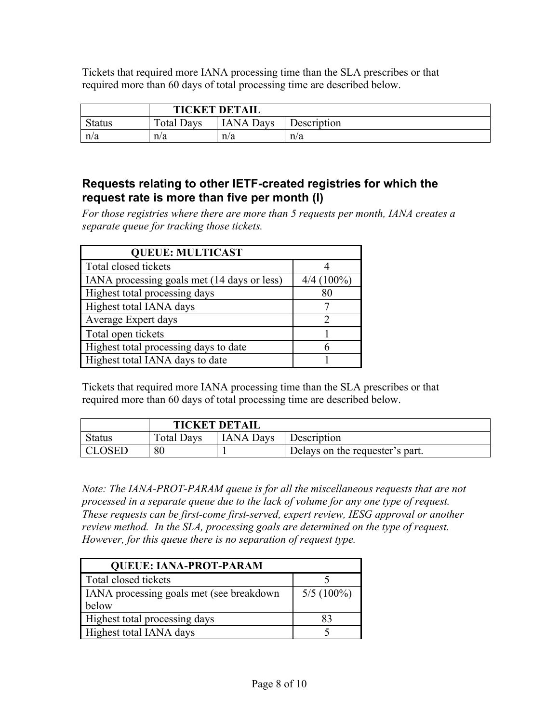|               | <b>TICKET DETAIL</b> |                  |             |
|---------------|----------------------|------------------|-------------|
| <b>Status</b> | <b>Total Days</b>    | <b>IANA Days</b> | Description |
| n/a           | n/a                  | n/a              | n/a         |

#### **Requests relating to other IETF-created registries for which the request rate is more than five per month (l)**

*For those registries where there are more than 5 requests per month, IANA creates a separate queue for tracking those tickets.* 

| <b>QUEUE: MULTICAST</b>                     |              |
|---------------------------------------------|--------------|
| Total closed tickets                        |              |
| IANA processing goals met (14 days or less) | $4/4(100\%)$ |
| Highest total processing days               | 80           |
| Highest total IANA days                     |              |
| Average Expert days                         |              |
| Total open tickets                          |              |
| Highest total processing days to date       |              |
| Highest total IANA days to date             |              |

Tickets that required more IANA processing time than the SLA prescribes or that required more than 60 days of total processing time are described below.

|               |                   | <b>TICKET DETAIL</b> |                                 |
|---------------|-------------------|----------------------|---------------------------------|
| <b>Status</b> | <b>Total Days</b> | <b>IANA</b> Days     | Description                     |
| <b>CLOSED</b> | 80                |                      | Delays on the requester's part. |

*Note: The IANA-PROT-PARAM queue is for all the miscellaneous requests that are not processed in a separate queue due to the lack of volume for any one type of request. These requests can be first-come first-served, expert review, IESG approval or another review method. In the SLA, processing goals are determined on the type of request. However, for this queue there is no separation of request type.*

| <b>QUEUE: IANA-PROT-PARAM</b>            |              |  |  |
|------------------------------------------|--------------|--|--|
| Total closed tickets                     |              |  |  |
| IANA processing goals met (see breakdown | $5/5(100\%)$ |  |  |
| below                                    |              |  |  |
| Highest total processing days            | 83           |  |  |
| Highest total IANA days                  |              |  |  |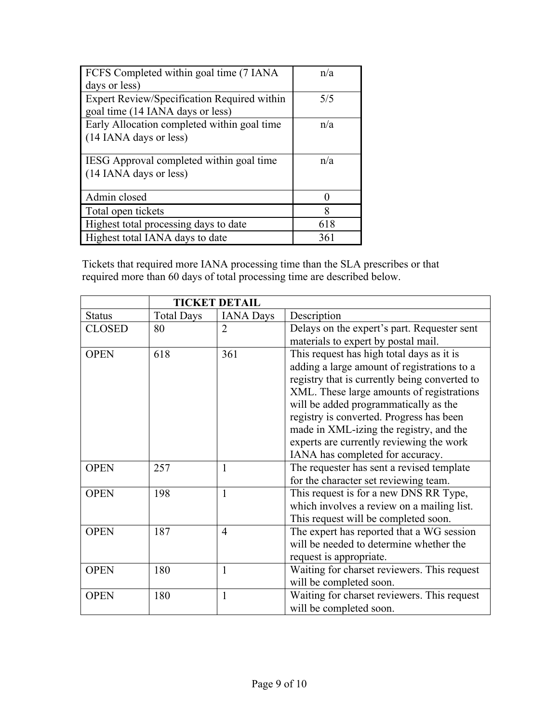| FCFS Completed within goal time (7 IANA)    | n/a               |
|---------------------------------------------|-------------------|
| days or less)                               |                   |
| Expert Review/Specification Required within | 5/5               |
| goal time (14 IANA days or less)            |                   |
| Early Allocation completed within goal time | n/a               |
| (14 IANA days or less)                      |                   |
|                                             |                   |
| IESG Approval completed within goal time    | n/a               |
| (14 IANA days or less)                      |                   |
|                                             |                   |
| Admin closed                                | $\mathbf{\Omega}$ |
| Total open tickets                          | 8                 |
| Highest total processing days to date       | 618               |
| Highest total IANA days to date             | 361               |

|               |                   | <b>TICKET DETAIL</b> |                                               |
|---------------|-------------------|----------------------|-----------------------------------------------|
| <b>Status</b> | <b>Total Days</b> | <b>IANA Days</b>     | Description                                   |
| <b>CLOSED</b> | 80                | $\overline{2}$       | Delays on the expert's part. Requester sent   |
|               |                   |                      | materials to expert by postal mail.           |
| <b>OPEN</b>   | 618               | 361                  | This request has high total days as it is     |
|               |                   |                      | adding a large amount of registrations to a   |
|               |                   |                      | registry that is currently being converted to |
|               |                   |                      | XML. These large amounts of registrations     |
|               |                   |                      | will be added programmatically as the         |
|               |                   |                      | registry is converted. Progress has been      |
|               |                   |                      | made in XML-izing the registry, and the       |
|               |                   |                      | experts are currently reviewing the work      |
|               |                   |                      | IANA has completed for accuracy.              |
| <b>OPEN</b>   | 257               | 1                    | The requester has sent a revised template     |
|               |                   |                      | for the character set reviewing team.         |
| <b>OPEN</b>   | 198               | $\mathbf{1}$         | This request is for a new DNS RR Type,        |
|               |                   |                      | which involves a review on a mailing list.    |
|               |                   |                      | This request will be completed soon.          |
| <b>OPEN</b>   | 187               | $\overline{4}$       | The expert has reported that a WG session     |
|               |                   |                      | will be needed to determine whether the       |
|               |                   |                      | request is appropriate.                       |
| <b>OPEN</b>   | 180               | $\mathbf{1}$         | Waiting for charset reviewers. This request   |
|               |                   |                      | will be completed soon.                       |
| <b>OPEN</b>   | 180               | $\mathbf{1}$         | Waiting for charset reviewers. This request   |
|               |                   |                      | will be completed soon.                       |